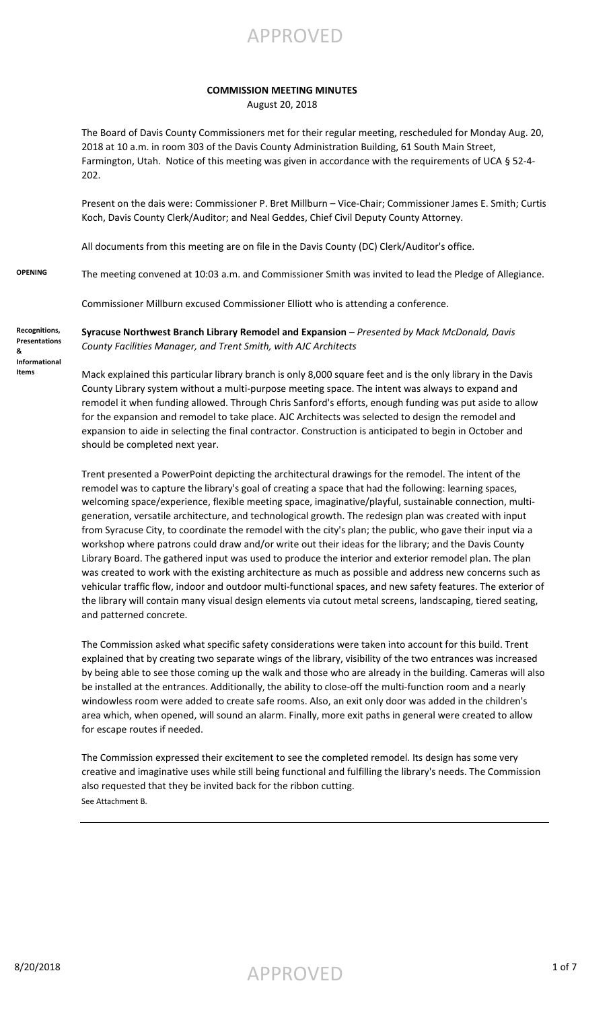#### **COMMISSION MEETING MINUTES**

August 20, 2018

The Board of Davis County Commissioners met for their regular meeting, rescheduled for Monday Aug. 20, 2018 at 10 a.m. in room 303 of the Davis County Administration Building, 61 South Main Street, Farmington, Utah. Notice of this meeting was given in accordance with the requirements of UCA § 52-4- 202.

Present on the dais were: Commissioner P. Bret Millburn – Vice-Chair; Commissioner James E. Smith; Curtis Koch, Davis County Clerk/Auditor; and Neal Geddes, Chief Civil Deputy County Attorney.

All documents from this meeting are on file in the Davis County (DC) Clerk/Auditor's office.

**OPENING** The meeting convened at 10:03 a.m. and Commissioner Smith was invited to lead the Pledge of Allegiance.

Commissioner Millburn excused Commissioner Elliott who is attending a conference.

**Syracuse Northwest Branch Library Remodel and Expansion** – *Presented by Mack McDonald, Davis County Facilities Manager, and Trent Smith, with AJC Architects*

**Presentations & Informational Items**

**Recognitions,** 

Mack explained this particular library branch is only 8,000 square feet and is the only library in the Davis County Library system without a multi-purpose meeting space. The intent was always to expand and remodel it when funding allowed. Through Chris Sanford's efforts, enough funding was put aside to allow for the expansion and remodel to take place. AJC Architects was selected to design the remodel and expansion to aide in selecting the final contractor. Construction is anticipated to begin in October and should be completed next year.

Trent presented a PowerPoint depicting the architectural drawings for the remodel. The intent of the remodel was to capture the library's goal of creating a space that had the following: learning spaces, welcoming space/experience, flexible meeting space, imaginative/playful, sustainable connection, multigeneration, versatile architecture, and technological growth. The redesign plan was created with input from Syracuse City, to coordinate the remodel with the city's plan; the public, who gave their input via a workshop where patrons could draw and/or write out their ideas for the library; and the Davis County Library Board. The gathered input was used to produce the interior and exterior remodel plan. The plan was created to work with the existing architecture as much as possible and address new concerns such as vehicular traffic flow, indoor and outdoor multi-functional spaces, and new safety features. The exterior of the library will contain many visual design elements via cutout metal screens, landscaping, tiered seating, and patterned concrete.

The Commission asked what specific safety considerations were taken into account for this build. Trent explained that by creating two separate wings of the library, visibility of the two entrances was increased by being able to see those coming up the walk and those who are already in the building. Cameras will also be installed at the entrances. Additionally, the ability to close-off the multi-function room and a nearly windowless room were added to create safe rooms. Also, an exit only door was added in the children's area which, when opened, will sound an alarm. Finally, more exit paths in general were created to allow for escape routes if needed.

The Commission expressed their excitement to see the completed remodel. Its design has some very creative and imaginative uses while still being functional and fulfilling the library's needs. The Commission also requested that they be invited back for the ribbon cutting. See Attachment B.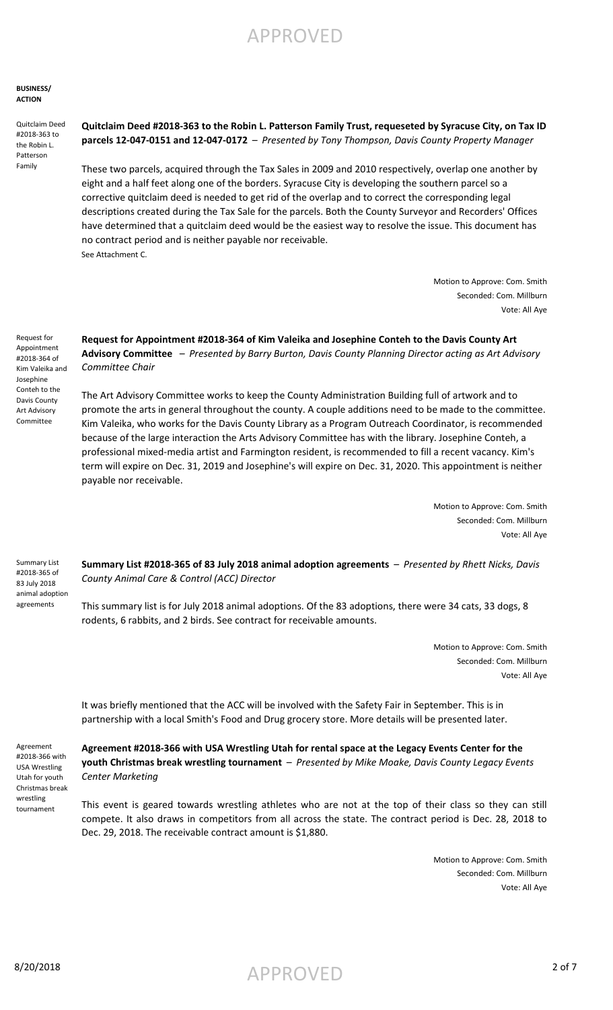**BUSINESS/ ACTION**

Quitclaim Deed #2018-363 to the Robin L. Patterson Family

**Quitclaim Deed #2018-363 to the Robin L. Patterson Family Trust, requeseted by Syracuse City, on Tax ID parcels 12-047-0151 and 12-047-0172** – *Presented by Tony Thompson, Davis County Property Manager*

These two parcels, acquired through the Tax Sales in 2009 and 2010 respectively, overlap one another by eight and a half feet along one of the borders. Syracuse City is developing the southern parcel so a corrective quitclaim deed is needed to get rid of the overlap and to correct the corresponding legal descriptions created during the Tax Sale for the parcels. Both the County Surveyor and Recorders' Offices have determined that a quitclaim deed would be the easiest way to resolve the issue. This document has no contract period and is neither payable nor receivable. See Attachment C.

> Motion to Approve: Com. Smith Seconded: Com. Millburn Vote: All Aye

Request for Appointment #2018-364 of Kim Valeika and Josephine Conteh to the Davis County Art Advisory Committee

**Request for Appointment #2018-364 of Kim Valeika and Josephine Conteh to the Davis County Art Advisory Committee** – *Presented by Barry Burton, Davis County Planning Director acting as Art Advisory Committee Chair*

The Art Advisory Committee works to keep the County Administration Building full of artwork and to promote the arts in general throughout the county. A couple additions need to be made to the committee. Kim Valeika, who works for the Davis County Library as a Program Outreach Coordinator, is recommended because of the large interaction the Arts Advisory Committee has with the library. Josephine Conteh, a professional mixed-media artist and Farmington resident, is recommended to fill a recent vacancy. Kim's term will expire on Dec. 31, 2019 and Josephine's will expire on Dec. 31, 2020. This appointment is neither payable nor receivable.

> Motion to Approve: Com. Smith Seconded: Com. Millburn Vote: All Aye

Summary List #2018-365 of 83 July 2018 animal adoption agreements

**Summary List #2018-365 of 83 July 2018 animal adoption agreements** – *Presented by Rhett Nicks, Davis County Animal Care & Control (ACC) Director*

This summary list is for July 2018 animal adoptions. Of the 83 adoptions, there were 34 cats, 33 dogs, 8 rodents, 6 rabbits, and 2 birds. See contract for receivable amounts.

> Motion to Approve: Com. Smith Seconded: Com. Millburn Vote: All Aye

It was briefly mentioned that the ACC will be involved with the Safety Fair in September. This is in partnership with a local Smith's Food and Drug grocery store. More details will be presented later.

Agreement #2018-366 with USA Wrestling Utah for youth Christmas break wrestling tournament

**Agreement #2018-366 with USA Wrestling Utah for rental space at the Legacy Events Center for the youth Christmas break wrestling tournament** – *Presented by Mike Moake, Davis County Legacy Events Center Marketing*

This event is geared towards wrestling athletes who are not at the top of their class so they can still compete. It also draws in competitors from all across the state. The contract period is Dec. 28, 2018 to Dec. 29, 2018. The receivable contract amount is \$1,880.

> Motion to Approve: Com. Smith Seconded: Com. Millburn Vote: All Aye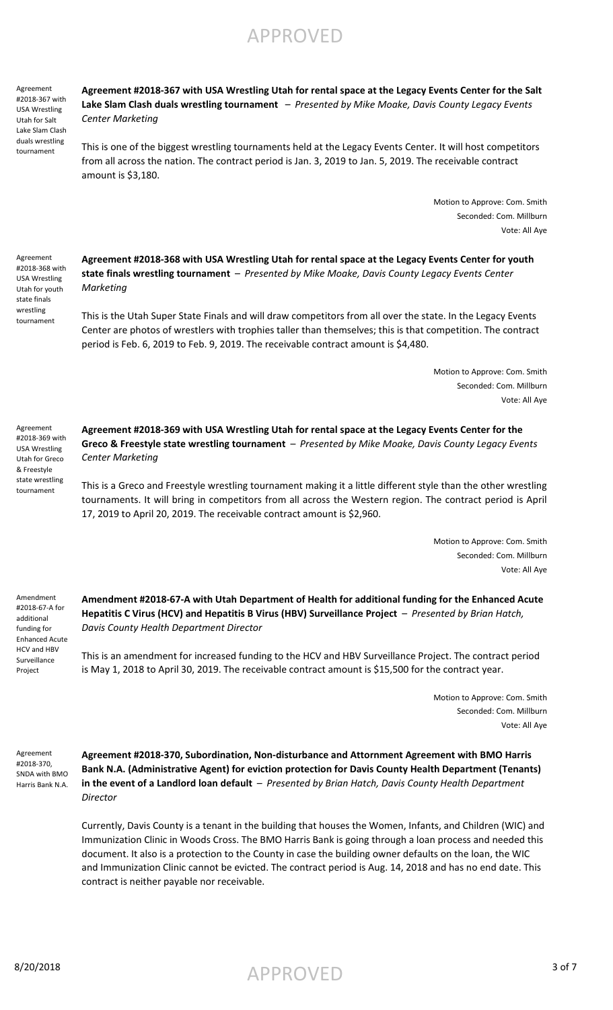Agreement #2018-367 with USA Wrestling Utah for Salt Lake Slam Clash duals wrestling tournament

Agreement #2018-368 with USA Wrestling Utah for youth state finals wrestling tournament

**Agreement #2018-367 with USA Wrestling Utah for rental space at the Legacy Events Center for the Salt Lake Slam Clash duals wrestling tournament** – *Presented by Mike Moake, Davis County Legacy Events Center Marketing*

This is one of the biggest wrestling tournaments held at the Legacy Events Center. It will host competitors from all across the nation. The contract period is Jan. 3, 2019 to Jan. 5, 2019. The receivable contract amount is \$3,180.

> Motion to Approve: Com. Smith Seconded: Com. Millburn Vote: All Aye

**Agreement #2018-368 with USA Wrestling Utah for rental space at the Legacy Events Center for youth state finals wrestling tournament** – *Presented by Mike Moake, Davis County Legacy Events Center Marketing*

This is the Utah Super State Finals and will draw competitors from all over the state. In the Legacy Events Center are photos of wrestlers with trophies taller than themselves; this is that competition. The contract period is Feb. 6, 2019 to Feb. 9, 2019. The receivable contract amount is \$4,480.

> Motion to Approve: Com. Smith Seconded: Com. Millburn Vote: All Aye

Agreement #2018-369 with USA Wrestling Utah for Greco & Freestyle state wrestling tournament

**Agreement #2018-369 with USA Wrestling Utah for rental space at the Legacy Events Center for the Greco & Freestyle state wrestling tournament** – *Presented by Mike Moake, Davis County Legacy Events Center Marketing*

This is a Greco and Freestyle wrestling tournament making it a little different style than the other wrestling tournaments. It will bring in competitors from all across the Western region. The contract period is April 17, 2019 to April 20, 2019. The receivable contract amount is \$2,960.

> Motion to Approve: Com. Smith Seconded: Com. Millburn Vote: All Aye

Amendment #2018-67-A for additional funding for Enhanced Acute HCV and HBV Surveillance Project

**Amendment #2018-67-A with Utah Department of Health for additional funding for the Enhanced Acute Hepatitis C Virus (HCV) and Hepatitis B Virus (HBV) Surveillance Project** – *Presented by Brian Hatch, Davis County Health Department Director*

This is an amendment for increased funding to the HCV and HBV Surveillance Project. The contract period is May 1, 2018 to April 30, 2019. The receivable contract amount is \$15,500 for the contract year.

> Motion to Approve: Com. Smith Seconded: Com. Millburn Vote: All Aye

Agreement #2018-370, SNDA with BMO Harris Bank N.A.

**Agreement #2018-370, Subordination, Non-disturbance and Attornment Agreement with BMO Harris Bank N.A. (Administrative Agent) for eviction protection for Davis County Health Department (Tenants) in the event of a Landlord loan default** – *Presented by Brian Hatch, Davis County Health Department Director*

Currently, Davis County is a tenant in the building that houses the Women, Infants, and Children (WIC) and Immunization Clinic in Woods Cross. The BMO Harris Bank is going through a loan process and needed this document. It also is a protection to the County in case the building owner defaults on the loan, the WIC and Immunization Clinic cannot be evicted. The contract period is Aug. 14, 2018 and has no end date. This contract is neither payable nor receivable.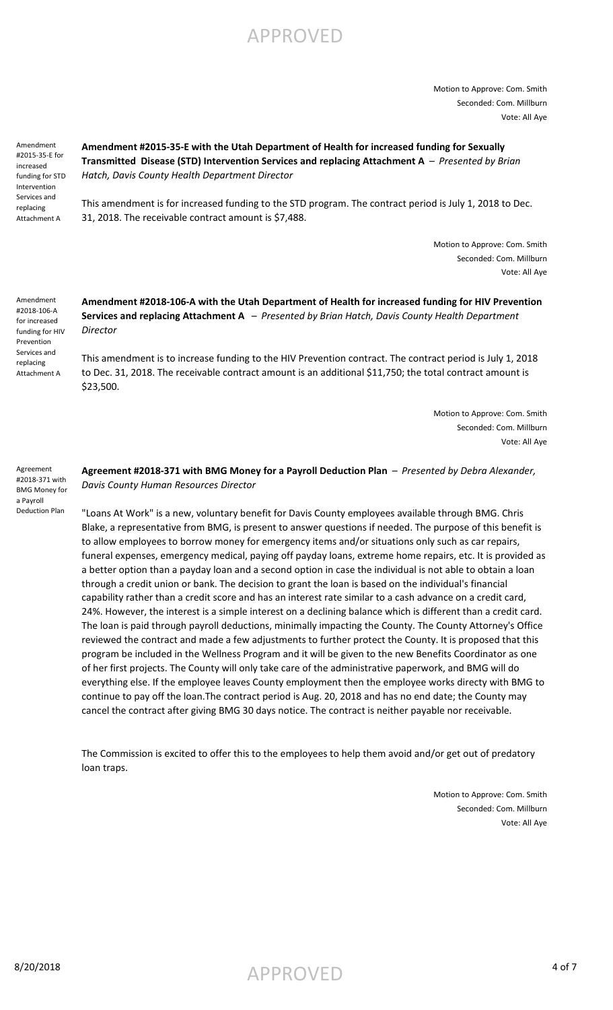Motion to Approve: Com. Smith Seconded: Com. Millburn Vote: All Aye

Amendment #2015-35-E for increased funding for STD Intervention Services and replacing Attachment A

Amendment #2018-106-A for increased funding for HIV Prevention Services and replacing Attachment A

#### **Amendment #2015-35-E with the Utah Department of Health for increased funding for Sexually Transmitted Disease (STD) Intervention Services and replacing Attachment A** – *Presented by Brian Hatch, Davis County Health Department Director*

This amendment is for increased funding to the STD program. The contract period is July 1, 2018 to Dec. 31, 2018. The receivable contract amount is \$7,488.

> Motion to Approve: Com. Smith Seconded: Com. Millburn Vote: All Aye

**Amendment #2018-106-A with the Utah Department of Health for increased funding for HIV Prevention Services and replacing Attachment A** – *Presented by Brian Hatch, Davis County Health Department Director*

This amendment is to increase funding to the HIV Prevention contract. The contract period is July 1, 2018 to Dec. 31, 2018. The receivable contract amount is an additional \$11,750; the total contract amount is \$23,500.

> Motion to Approve: Com. Smith Seconded: Com. Millburn Vote: All Aye

Agreement #2018-371 with BMG Money for a Payroll Deduction Plan

**Agreement #2018-371 with BMG Money for a Payroll Deduction Plan** – *Presented by Debra Alexander, Davis County Human Resources Director*

"Loans At Work" is a new, voluntary benefit for Davis County employees available through BMG. Chris Blake, a representative from BMG, is present to answer questions if needed. The purpose of this benefit is to allow employees to borrow money for emergency items and/or situations only such as car repairs, funeral expenses, emergency medical, paying off payday loans, extreme home repairs, etc. It is provided as a better option than a payday loan and a second option in case the individual is not able to obtain a loan through a credit union or bank. The decision to grant the loan is based on the individual's financial capability rather than a credit score and has an interest rate similar to a cash advance on a credit card, 24%. However, the interest is a simple interest on a declining balance which is different than a credit card. The loan is paid through payroll deductions, minimally impacting the County. The County Attorney's Office reviewed the contract and made a few adjustments to further protect the County. It is proposed that this program be included in the Wellness Program and it will be given to the new Benefits Coordinator as one of her first projects. The County will only take care of the administrative paperwork, and BMG will do everything else. If the employee leaves County employment then the employee works directy with BMG to continue to pay off the loan.The contract period is Aug. 20, 2018 and has no end date; the County may cancel the contract after giving BMG 30 days notice. The contract is neither payable nor receivable.

The Commission is excited to offer this to the employees to help them avoid and/or get out of predatory loan traps.

> Motion to Approve: Com. Smith Seconded: Com. Millburn Vote: All Aye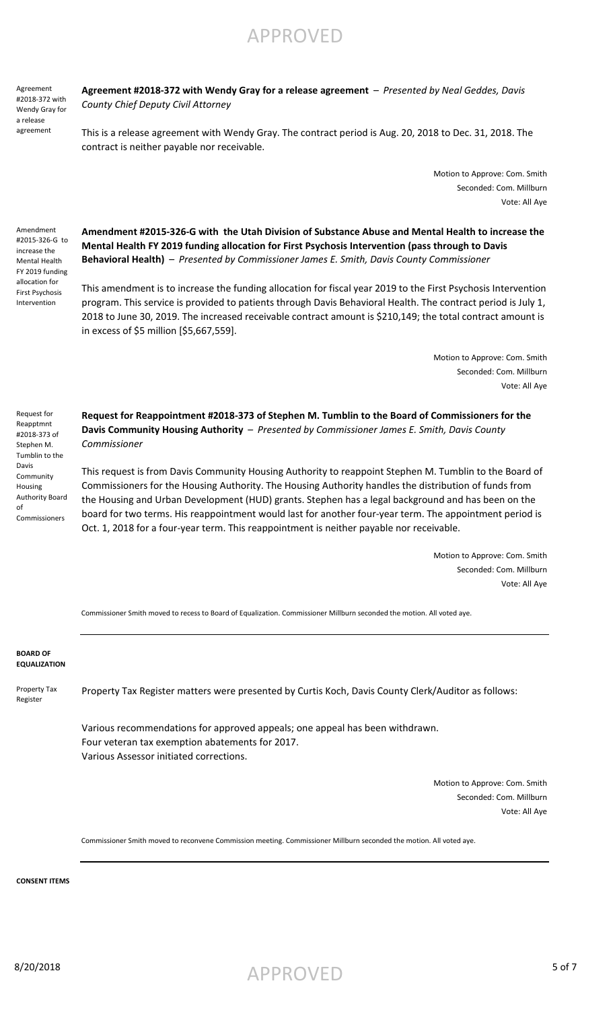**BOARD OF EQUALIZATION**

Property Tax

Register

Property Tax Register matters were presented by Curtis Koch, Davis County Clerk/Auditor as follows:

Various recommendations for approved appeals; one appeal has been withdrawn. Four veteran tax exemption abatements for 2017. Various Assessor initiated corrections.

> Motion to Approve: Com. Smith Seconded: Com. Millburn Vote: All Aye

Commissioner Smith moved to reconvene Commission meeting. Commissioner Millburn seconded the motion. All voted aye.

**CONSENT ITEMS**

#2015-326-G to increase the Mental Health FY 2019 funding allocation for First Psychosis Intervention

Amendment

Agreement #2018-372 with Wendy Gray for a release agreement

Request for Reapptmnt #2018-373 of Stephen M. Tumblin to the Davis Community Housing Authority Board

of

Commissioners

**Agreement #2018-372 with Wendy Gray for a release agreement** – *Presented by Neal Geddes, Davis County Chief Deputy Civil Attorney*

APPROVED

This is a release agreement with Wendy Gray. The contract period is Aug. 20, 2018 to Dec. 31, 2018. The contract is neither payable nor receivable.

> Motion to Approve: Com. Smith Seconded: Com. Millburn Vote: All Aye

**Amendment #2015-326-G with the Utah Division of Substance Abuse and Mental Health to increase the Mental Health FY 2019 funding allocation for First Psychosis Intervention (pass through to Davis Behavioral Health)** – *Presented by Commissioner James E. Smith, Davis County Commissioner*

This amendment is to increase the funding allocation for fiscal year 2019 to the First Psychosis Intervention program. This service is provided to patients through Davis Behavioral Health. The contract period is July 1, 2018 to June 30, 2019. The increased receivable contract amount is \$210,149; the total contract amount is

in excess of \$5 million [\$5,667,559].

Motion to Approve: Com. Smith Seconded: Com. Millburn Vote: All Aye

**Request for Reappointment #2018-373 of Stephen M. Tumblin to the Board of Commissioners for the Davis Community Housing Authority** – *Presented by Commissioner James E. Smith, Davis County Commissioner*

This request is from Davis Community Housing Authority to reappoint Stephen M. Tumblin to the Board of Commissioners for the Housing Authority. The Housing Authority handles the distribution of funds from the Housing and Urban Development (HUD) grants. Stephen has a legal background and has been on the board for two terms. His reappointment would last for another four-year term. The appointment period is Oct. 1, 2018 for a four-year term. This reappointment is neither payable nor receivable.

> Motion to Approve: Com. Smith Seconded: Com. Millburn Vote: All Aye

Commissioner Smith moved to recess to Board of Equalization. Commissioner Millburn seconded the motion. All voted aye.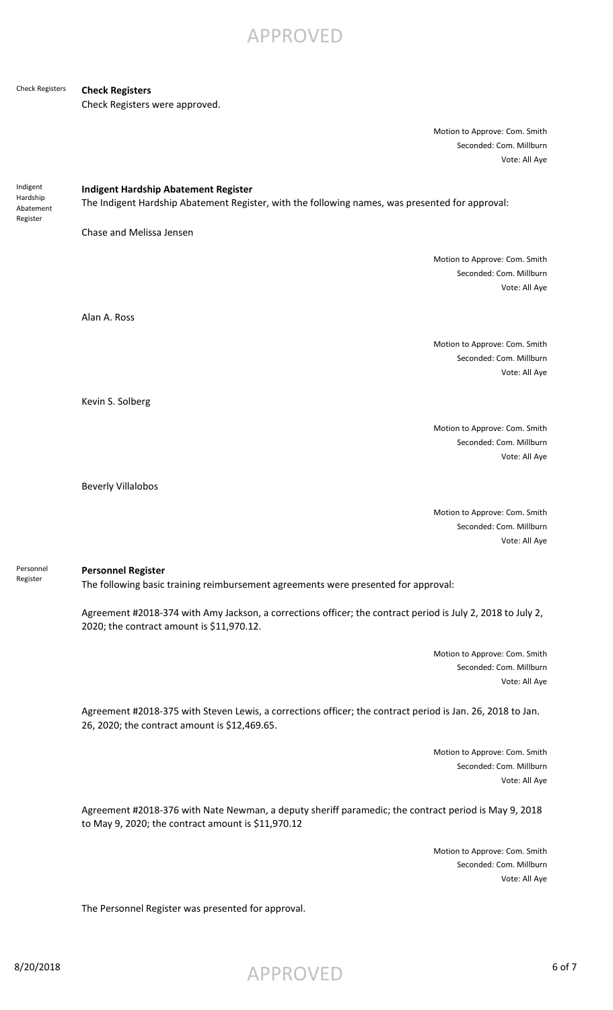APPROVED

#### **Check Registers** Check Registers

Check Registers were approved.

| Motion to Approve: Com. Smith |
|-------------------------------|
| Seconded: Com. Millburn       |
| Vote: All Aye                 |

Indigent Hardship Abatement Register

**Indigent Hardship Abatement Register**

The Indigent Hardship Abatement Register, with the following names, was presented for approval:

Chase and Melissa Jensen

Motion to Approve: Com. Smith Seconded: Com. Millburn Vote: All Aye

Alan A. Ross

Motion to Approve: Com. Smith Seconded: Com. Millburn Vote: All Aye

Kevin S. Solberg

Motion to Approve: Com. Smith Seconded: Com. Millburn Vote: All Aye

Beverly Villalobos

Motion to Approve: Com. Smith Seconded: Com. Millburn Vote: All Aye

Personnel Register

#### **Personnel Register**

The following basic training reimbursement agreements were presented for approval:

Agreement #2018-374 with Amy Jackson, a corrections officer; the contract period is July 2, 2018 to July 2, 2020; the contract amount is \$11,970.12.

> Motion to Approve: Com. Smith Seconded: Com. Millburn Vote: All Aye

Agreement #2018-375 with Steven Lewis, a corrections officer; the contract period is Jan. 26, 2018 to Jan. 26, 2020; the contract amount is \$12,469.65.

> Motion to Approve: Com. Smith Seconded: Com. Millburn Vote: All Aye

Agreement #2018-376 with Nate Newman, a deputy sheriff paramedic; the contract period is May 9, 2018 to May 9, 2020; the contract amount is \$11,970.12

> Motion to Approve: Com. Smith Seconded: Com. Millburn Vote: All Aye

The Personnel Register was presented for approval.